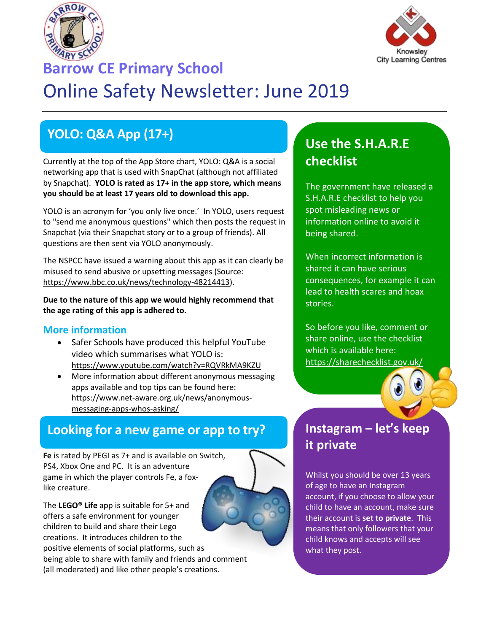



# **Barrow CE Primary School** Online Safety Newsletter: June 2019

# **YOLO: Q&A App (17+)**

Currently at the top of the App Store chart, YOLO: Q&A is a social networking app that is used with SnapChat (although not affiliated by Snapchat). **YOLO is rated as 17+ in the app store, which means you should be at least 17 years old to download this app.**

YOLO is an acronym for 'you only live once.' In YOLO, users request to "send me anonymous questions" which then posts the request in Snapchat (via their Snapchat story or to a group of friends). All questions are then sent via YOLO anonymously.

The NSPCC have issued a warning about this app as it can clearly be misused to send abusive or upsetting messages (Source: [https://www.bbc.co.uk/news/technology-48214413\)](https://www.bbc.co.uk/news/technology-48214413).

**Due to the nature of this app we would highly recommend that the age rating of this app is adhered to.**

#### **More information**

- Safer Schools have produced this helpful YouTube video which summarises what YOLO is: <https://www.youtube.com/watch?v=RQVRkMA9KZU>
- More information about different anonymous messaging apps available and top tips can be found here: [https://www.net-aware.org.uk/news/anonymous](https://www.net-aware.org.uk/news/anonymous-messaging-apps-whos-asking/)[messaging-apps-whos-asking/](https://www.net-aware.org.uk/news/anonymous-messaging-apps-whos-asking/)

### **Looking for a new game or app to try?**

**Fe** is rated by PEGI as 7+ and is available on Switch, PS4, Xbox One and PC. It is an adventure game in which the player controls Fe, a foxlike creature.

The **LEGO® Life** app is suitable for 5+ and offers a safe environment for younger children to build and share their Lego creations. It introduces children to the positive elements of social platforms, such as being able to share with family and friends and comment (all moderated) and like other people's creations.

### **Use the S.H.A.R.E checklist**

The government have released a S.H.A.R.E checklist to help you spot misleading news or information online to avoid it being shared.

When incorrect information is shared it can have serious consequences, for example it can lead to health scares and hoax stories.

So before you like, comment or share online, use the checklist which is available here: <https://sharechecklist.gov.uk/>



### **Instagram – let's keep it private**

Whilst you should be over 13 years of age to have an Instagram account, if you choose to allow your child to have an account, make sure their account is **set to private**. This means that only followers that your child knows and accepts will see what they post.